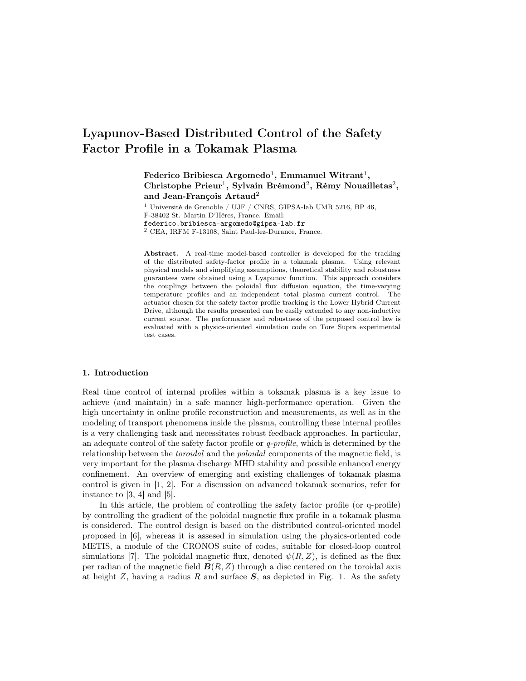# Lyapunov-Based Distributed Control of the Safety Factor Profile in a Tokamak Plasma

Federico Bribiesca Argomedo<sup>1</sup>, Emmanuel Witrant<sup>1</sup>,  $\text{Christophe Prieur}^1, \text{ Sylvain Brémond}^2, \text{ Rémy Nouailletas}^2,$ and Jean-François Artaud<sup>2</sup>

 $^1$ Université de Grenoble / UJF / CNRS, GIPSA-lab UMR 5216, BP 46, F-38402 St. Martin D'Hères, France. Email: federico.bribiesca-argomedo@gipsa-lab.fr <sup>2</sup> CEA, IRFM F-13108, Saint Paul-lez-Durance, France.

Abstract. A real-time model-based controller is developed for the tracking of the distributed safety-factor profile in a tokamak plasma. Using relevant physical models and simplifying assumptions, theoretical stability and robustness guarantees were obtained using a Lyapunov function. This approach considers the couplings between the poloidal flux diffusion equation, the time-varying temperature profiles and an independent total plasma current control. The actuator chosen for the safety factor profile tracking is the Lower Hybrid Current Drive, although the results presented can be easily extended to any non-inductive current source. The performance and robustness of the proposed control law is evaluated with a physics-oriented simulation code on Tore Supra experimental test cases.

# 1. Introduction

Real time control of internal profiles within a tokamak plasma is a key issue to achieve (and maintain) in a safe manner high-performance operation. Given the high uncertainty in online profile reconstruction and measurements, as well as in the modeling of transport phenomena inside the plasma, controlling these internal profiles is a very challenging task and necessitates robust feedback approaches. In particular, an adequate control of the safety factor profile or  $q$ -profile, which is determined by the relationship between the *toroidal* and the *poloidal* components of the magnetic field, is very important for the plasma discharge MHD stability and possible enhanced energy confinement. An overview of emerging and existing challenges of tokamak plasma control is given in [1, 2]. For a discussion on advanced tokamak scenarios, refer for instance to [3, 4] and [5].

In this article, the problem of controlling the safety factor profile (or q-profile) by controlling the gradient of the poloidal magnetic flux profile in a tokamak plasma is considered. The control design is based on the distributed control-oriented model proposed in [6], whereas it is assesed in simulation using the physics-oriented code METIS, a module of the CRONOS suite of codes, suitable for closed-loop control simulations [7]. The poloidal magnetic flux, denoted  $\psi(R, Z)$ , is defined as the flux per radian of the magnetic field  $\mathbf{B}(R, Z)$  through a disc centered on the toroidal axis at height  $Z$ , having a radius R and surface  $S$ , as depicted in Fig. 1. As the safety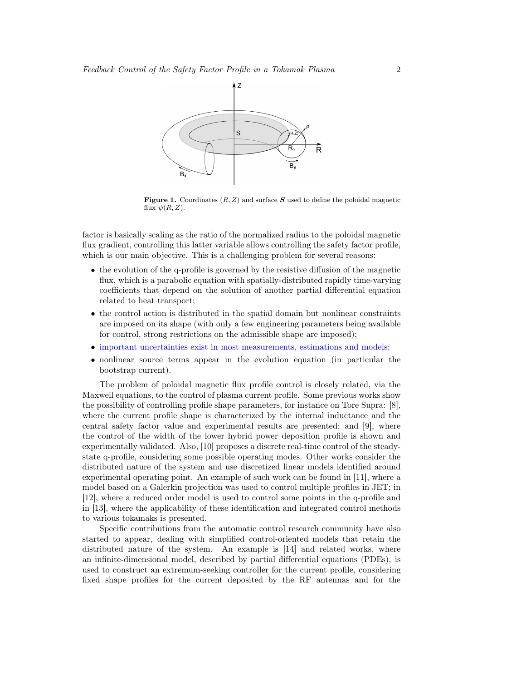

Figure 1. Coordinates  $(R, Z)$  and surface S used to define the poloidal magnetic flux  $\psi(R, Z)$ .

factor is basically scaling as the ratio of the normalized radius to the poloidal magnetic flux gradient, controlling this latter variable allows controlling the safety factor profile, which is our main objective. This is a challenging problem for several reasons:

- the evolution of the q-profile is governed by the resistive diffusion of the magnetic flux, which is a parabolic equation with spatially-distributed rapidly time-varying coefficients that depend on the solution of another partial differential equation related to heat transport;
- the control action is distributed in the spatial domain but nonlinear constraints are imposed on its shape (with only a few engineering parameters being available for control, strong restrictions on the admissible shape are imposed);
- important uncertainties exist in most measurements, estimations and models;
- nonlinear source terms appear in the evolution equation (in particular the bootstrap current).

The problem of poloidal magnetic flux profile control is closely related, via the Maxwell equations, to the control of plasma current profile. Some previous works show the possibility of controlling profile shape parameters, for instance on Tore Supra: [8], where the current profile shape is characterized by the internal inductance and the central safety factor value and experimental results are presented; and [9], where the control of the width of the lower hybrid power deposition profile is shown and experimentally validated. Also, [10] proposes a discrete real-time control of the steadystate q-profile, considering some possible operating modes. Other works consider the distributed nature of the system and use discretized linear models identified around experimental operating point. An example of such work can be found in [11], where a model based on a Galerkin projection was used to control multiple profiles in JET; in [12], where a reduced order model is used to control some points in the q-profile and in [13], where the applicability of these identification and integrated control methods to various tokamaks is presented.

Specific contributions from the automatic control research community have also started to appear, dealing with simplified control-oriented models that retain the distributed nature of the system. An example is [14] and related works, where an infinite-dimensional model, described by partial differential equations (PDEs), is used to construct an extremum-seeking controller for the current profile, considering fixed shape profiles for the current deposited by the RF antennas and for the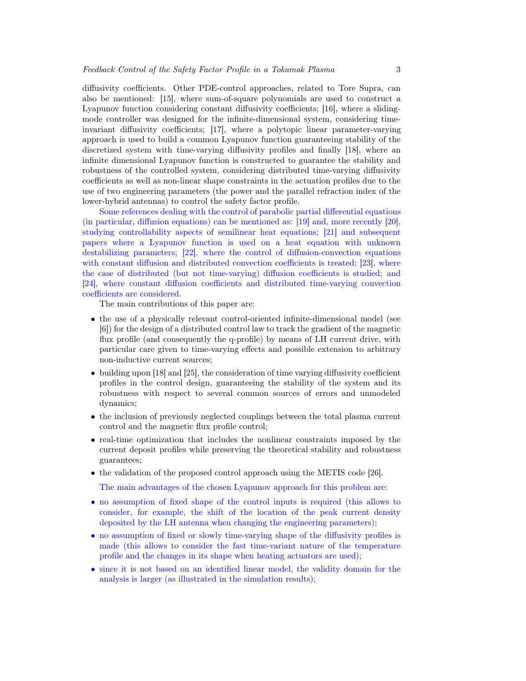diffusivity coefficients. Other PDE-control approaches, related to Tore Supra, can also be mentioned: [15], where sum-of-square polynomials are used to construct a Lyapunov function considering constant diffusivity coefficients; [16], where a slidingmode controller was designed for the infinite-dimensional system, considering timeinvariant diffusivity coefficients; [17], where a polytopic linear parameter-varying approach is used to build a common Lyapunov function guaranteeing stability of the discretized system with time-varying diffusivity profiles and finally [18], where an infinite dimensional Lyapunov function is constructed to guarantee the stability and robustness of the controlled system, considering distributed time-varying diffusivity coefficients as well as non-linear shape constraints in the actuation profiles due to the use of two engineering parameters (the power and the parallel refraction index of the lower-hybrid antennas) to control the safety factor profile.

Some references dealing with the control of parabolic partial differential equations (in particular, diffusion equations) can be mentioned as: [19] and, more recently [20], studying controllability aspects of semilinear heat equations; [21] and subsequent papers where a Lyapunov function is used on a heat equation with unknown destabilizing parameters; [22], where the control of diffusion-convection equations with constant diffusion and distributed convection coefficients is treated; [23], where the case of distributed (but not time-varying) diffusion coefficients is studied; and [24], where constant diffusion coefficients and distributed time-varying convection coefficients are considered.

The main contributions of this paper are:

- the use of a physically relevant control-oriented infinite-dimensional model (see [6]) for the design of a distributed control law to track the gradient of the magnetic flux profile (and consequently the q-profile) by means of LH current drive, with particular care given to time-varying effects and possible extension to arbitrary non-inductive current sources;
- building upon [18] and [25], the consideration of time varying diffusivity coefficient profiles in the control design, guaranteeing the stability of the system and its robustness with respect to several common sources of errors and unmodeled dynamics;
- the inclusion of previously neglected couplings between the total plasma current control and the magnetic flux profile control;
- real-time optimization that includes the nonlinear constraints imposed by the current deposit profiles while preserving the theoretical stability and robustness guarantees;
- the validation of the proposed control approach using the METIS code [26].

The main advantages of the chosen Lyapunov approach for this problem are:

- no assumption of fixed shape of the control inputs is required (this allows to consider, for example, the shift of the location of the peak current density deposited by the LH antenna when changing the engineering parameters);
- no assumption of fixed or slowly time-varying shape of the diffusivity profiles is made (this allows to consider the fast time-variant nature of the temperature profile and the changes in its shape when heating actuators are used);
- since it is not based on an identified linear model, the validity domain for the analysis is larger (as illustrated in the simulation results);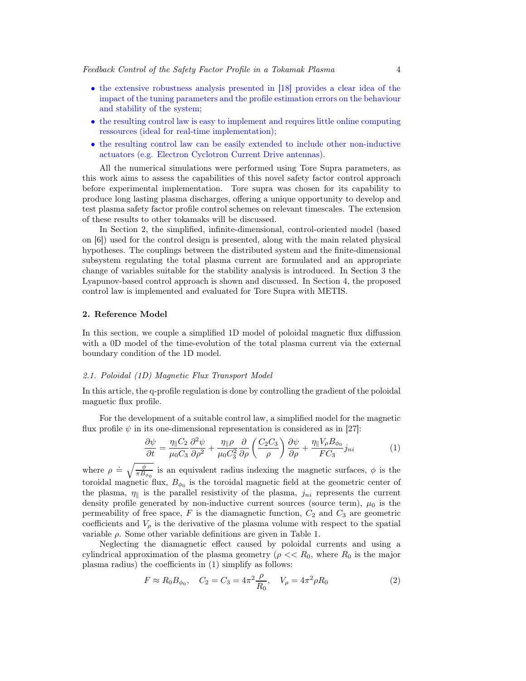- the extensive robustness analysis presented in [18] provides a clear idea of the impact of the tuning parameters and the profile estimation errors on the behaviour and stability of the system;
- the resulting control law is easy to implement and requires little online computing ressources (ideal for real-time implementation);
- the resulting control law can be easily extended to include other non-inductive actuators (e.g. Electron Cyclotron Current Drive antennas).

All the numerical simulations were performed using Tore Supra parameters, as this work aims to assess the capabilities of this novel safety factor control approach before experimental implementation. Tore supra was chosen for its capability to produce long lasting plasma discharges, offering a unique opportunity to develop and test plasma safety factor profile control schemes on relevant timescales. The extension of these results to other tokamaks will be discussed.

In Section 2, the simplified, infinite-dimensional, control-oriented model (based on [6]) used for the control design is presented, along with the main related physical hypotheses. The couplings between the distributed system and the finite-dimensional subsystem regulating the total plasma current are formulated and an appropriate change of variables suitable for the stability analysis is introduced. In Section 3 the Lyapunov-based control approach is shown and discussed. In Section 4, the proposed control law is implemented and evaluated for Tore Supra with METIS.

#### 2. Reference Model

In this section, we couple a simplified 1D model of poloidal magnetic flux diffussion with a 0D model of the time-evolution of the total plasma current via the external boundary condition of the 1D model.

#### 2.1. Poloidal (1D) Magnetic Flux Transport Model

In this article, the q-profile regulation is done by controlling the gradient of the poloidal magnetic flux profile.

For the development of a suitable control law, a simplified model for the magnetic flux profile  $\psi$  in its one-dimensional representation is considered as in [27]:

$$
\frac{\partial \psi}{\partial t} = \frac{\eta_{\parallel} C_2}{\mu_0 C_3} \frac{\partial^2 \psi}{\partial \rho^2} + \frac{\eta_{\parallel} \rho}{\mu_0 C_3^2} \frac{\partial}{\partial \rho} \left( \frac{C_2 C_3}{\rho} \right) \frac{\partial \psi}{\partial \rho} + \frac{\eta_{\parallel} V_{\rho} B_{\phi_0}}{FC_3} j_{ni}
$$
(1)

where  $\rho = \sqrt{\frac{\phi}{\pi B_{\phi_0}}}$  is an equivalent radius indexing the magnetic surfaces,  $\phi$  is the toroidal magnetic flux,  $B_{\phi_0}$  is the toroidal magnetic field at the geometric center of the plasma,  $\eta_{\parallel}$  is the parallel resistivity of the plasma,  $j_{ni}$  represents the current density profile generated by non-inductive current sources (source term),  $\mu_0$  is the permeability of free space,  $F$  is the diamagnetic function,  $C_2$  and  $C_3$  are geometric coefficients and  $V<sub>o</sub>$  is the derivative of the plasma volume with respect to the spatial variable  $\rho$ . Some other variable definitions are given in Table 1.

Neglecting the diamagnetic effect caused by poloidal currents and using a cylindrical approximation of the plasma geometry ( $\rho \ll R_0$ , where  $R_0$  is the major plasma radius) the coefficients in (1) simplify as follows:

$$
F \approx R_0 B_{\phi_0}, \quad C_2 = C_3 = 4\pi^2 \frac{\rho}{R_0}, \quad V_\rho = 4\pi^2 \rho R_0
$$
 (2)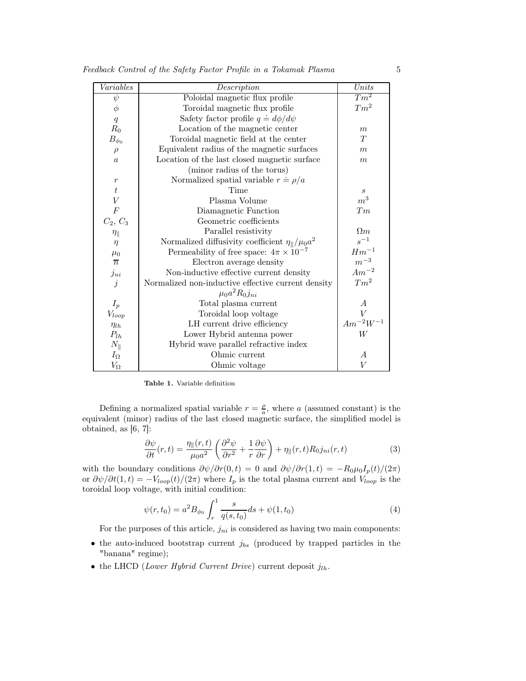| Variables          | Description                                                     | Units            |
|--------------------|-----------------------------------------------------------------|------------------|
| $\psi$             | Poloidal magnetic flux profile                                  | $Tm^2$           |
| $\phi$             | Toroidal magnetic flux profile                                  | $Tm^2$           |
| q                  | Safety factor profile $q \doteq d\phi/d\psi$                    |                  |
| $R_0$              | Location of the magnetic center                                 | m                |
| $B_{\phi_0}$       | Toroidal magnetic field at the center                           |                  |
| $\rho$             | Equivalent radius of the magnetic surfaces                      | $\boldsymbol{m}$ |
| $\boldsymbol{a}$   | Location of the last closed magnetic surface                    | $\boldsymbol{m}$ |
|                    | (minor radius of the torus)                                     |                  |
| $\,r\,$            | Normalized spatial variable $r \doteq \rho/a$                   |                  |
| t                  | Time                                                            | $\boldsymbol{s}$ |
| $\bar{V}$          | Plasma Volume                                                   | m <sup>3</sup>   |
| $\overline{F}$     | Diamagnetic Function                                            | Tm               |
| $C_2, C_3$         | Geometric coefficients                                          |                  |
| $\eta_{\parallel}$ | Parallel resistivity                                            | $\Omega m$       |
| $\eta$             | Normalized diffusivity coefficient $\eta_{\parallel}/\mu_0 a^2$ | $s^{-1}$         |
| $\mu_0$            | Permeability of free space: $4\pi \times 10^{-7}$               | $Hm^{-1}$        |
| $\overline{n}$     | Electron average density                                        | $m^{-3}$         |
| $_{jni}$           | Non-inductive effective current density                         | $Am^{-2}$        |
| $\dot{j}$          | Normalized non-inductive effective current density              | $Tm^2$           |
|                    | $\mu_0 a^2 R_0 j_{ni}$                                          |                  |
| $I_p$              | Total plasma current                                            | A                |
| $V_{loop}$         | Toroidal loop voltage                                           | $\bar{V}$        |
| $\eta_{lh}$        | LH current drive efficiency                                     | $Am^{-2}W^{-1}$  |
| $P_{lh}$           | Lower Hybrid antenna power                                      | W                |
| $N_{\parallel}$    | Hybrid wave parallel refractive index                           |                  |
| $I_{\Omega}$       | Ohmic current                                                   | $\overline{A}$   |
| $V_\Omega$         | Ohmic voltage                                                   | V                |

Feedback Control of the Safety Factor Profile in a Tokamak Plasma 5

Table 1. Variable definition

Defining a normalized spatial variable  $r = \frac{\rho}{a}$ , where a (assumed constant) is the equivalent (minor) radius of the last closed magnetic surface, the simplified model is obtained, as [6, 7]:

$$
\frac{\partial \psi}{\partial t}(r,t) = \frac{\eta_{\parallel}(r,t)}{\mu_0 a^2} \left( \frac{\partial^2 \psi}{\partial r^2} + \frac{1}{r} \frac{\partial \psi}{\partial r} \right) + \eta_{\parallel}(r,t) R_0 j_{ni}(r,t) \tag{3}
$$

with the boundary conditions  $\partial \psi / \partial r(0, t) = 0$  and  $\partial \psi / \partial r(1, t) = -R_0 \mu_0 I_p(t) / (2\pi)$ or  $\partial \psi / \partial t(1, t) = -V_{loop}(t)/(2\pi)$  where  $I_p$  is the total plasma current and  $V_{loop}$  is the toroidal loop voltage, with initial condition:

$$
\psi(r, t_0) = a^2 B_{\phi_0} \int_r^1 \frac{s}{q(s, t_0)} ds + \psi(1, t_0)
$$
\n(4)

For the purposes of this article,  $j_{ni}$  is considered as having two main components:

- the auto-induced bootstrap current  $j_{bs}$  (produced by trapped particles in the "banana" regime);
- the LHCD (Lower Hybrid Current Drive) current deposit  $j_{lh}$ .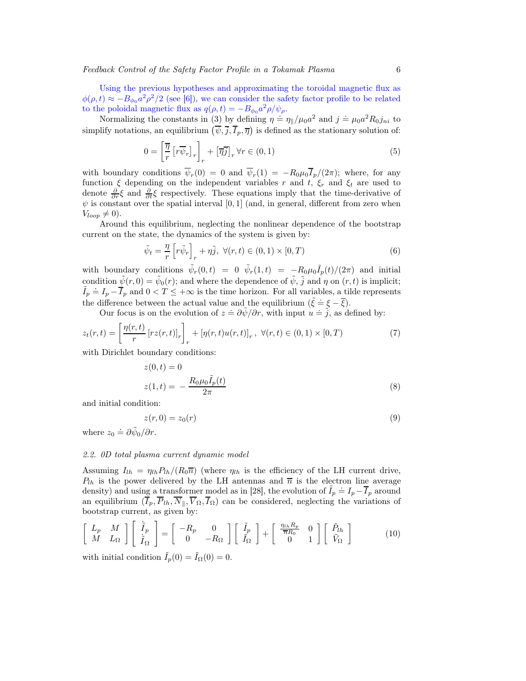Using the previous hypotheses and approximating the toroidal magnetic flux as  $\phi(\rho, t) \approx -B_{\phi_0} a^2 \rho^2 / 2$  (see [6]), we can consider the safety factor profile to be related to the poloidal magnetic flux as  $q(\rho, t) = -B_{\phi_0} a^2 \rho / \psi_\rho$ .

Normalizing the constants in (3) by defining  $\eta = \eta_{\parallel}/\mu_0 a^2$  and  $j = \mu_0 a^2 R_0 j_{ni}$  to simplify notations, an equilibrium  $(\overline{\psi}, \overline{j}, \overline{I}_p, \overline{\eta})$  is defined as the stationary solution of:

$$
0 = \left[\frac{\overline{\eta}}{r} \left[r\overline{\psi}_r\right]_r\right]_r + \left[\overline{\eta}\overline{j}\right]_r \forall r \in (0, 1)
$$
\n
$$
(5)
$$

with boundary conditions  $\psi_r(0) = 0$  and  $\psi_r(1) = -R_0\mu_0I_p/(2\pi)$ ; where, for any function  $\xi$  depending on the independent variables r and t,  $\xi_r$  and  $\xi_t$  are used to denote  $\frac{\partial}{\partial r}\xi$  and  $\frac{\partial}{\partial t}\xi$  respectively. These equations imply that the time-derivative of  $\psi$  is constant over the spatial interval [0, 1] (and, in general, different from zero when  $V_{loop} \neq 0$ .

Around this equilibrium, neglecting the nonlinear dependence of the bootstrap current on the state, the dynamics of the system is given by:

$$
\tilde{\psi}_t = \frac{\eta}{r} \left[ r \tilde{\psi}_r \right]_r + \eta \tilde{j}, \ \forall (r, t) \in (0, 1) \times [0, T)
$$
\n
$$
(6)
$$

with boundary conditions  $\tilde{\psi}_r(0,t) = 0$   $\tilde{\psi}_r(1,t) = -R_0\mu_0\tilde{I}_p(t)/(2\pi)$  and initial condition  $\tilde{\psi}(r,0) = \tilde{\psi}_0(r)$ ; and where the dependence of  $\tilde{\psi}$ ,  $\tilde{j}$  and  $\eta$  on  $(r, t)$  is implicit;  $\tilde{I}_p = I_p - \overline{I}_p$  and  $0 < T \leq +\infty$  is the time horizon. For all variables, a tilde represents the difference between the actual value and the equilibrium  $(\tilde{\xi} \doteq \xi - \overline{\xi})$ .

Our focus is on the evolution of  $z = \frac{\partial \tilde{\psi}}{\partial r}$ , with input  $u = \tilde{j}$ , as defined by:

$$
z_t(r,t) = \left[\frac{\eta(r,t)}{r} \left[rz(r,t)\right]_r\right]_r + \left[\eta(r,t)u(r,t)\right]_r, \ \forall (r,t) \in (0,1) \times [0,T) \tag{7}
$$

with Dirichlet boundary conditions:

$$
z(0,t) = 0
$$
  

$$
z(1,t) = -\frac{R_0\mu_0\tilde{I}_p(t)}{2\pi}
$$
 (8)

and initial condition:

$$
z(r,0) = z_0(r) \tag{9}
$$

where  $z_0 \doteq \partial \tilde{\psi}_0 / \partial r$ .

## 2.2. 0D total plasma current dynamic model

Assuming  $I_{lh} = \eta_{lh} P_{lh}/(R_0 \overline{n})$  (where  $\eta_{lh}$  is the efficiency of the LH current drive,  $P_{lh}$  is the power delivered by the LH antennas and  $\bar{n}$  is the electron line average density) and using a transformer model as in [28], the evolution of  $\tilde{I}_p \doteq I_p - \overline{I}_p$  around an equilibrium  $(\overline{I}_p, \overline{P}_{lh}, \overline{N}_{\parallel}, \overline{V}_{\Omega}, \overline{I}_{\Omega})$  can be considered, neglecting the variations of bootstrap current, as given by:

$$
\begin{bmatrix} L_p & M \\ M & L_{\Omega} \end{bmatrix} \begin{bmatrix} \dot{\tilde{I}}_p \\ \dot{\tilde{I}}_{\Omega} \end{bmatrix} = \begin{bmatrix} -R_p & 0 \\ 0 & -R_{\Omega} \end{bmatrix} \begin{bmatrix} \tilde{I}_p \\ \tilde{I}_{\Omega} \end{bmatrix} + \begin{bmatrix} \frac{\eta_{lh} R_p}{\pi R_0} & 0 \\ 0 & 1 \end{bmatrix} \begin{bmatrix} \tilde{P}_{lh} \\ \tilde{V}_{\Omega} \end{bmatrix}
$$
(10)

with initial condition  $\tilde{I}_p(0) = \tilde{I}_{\Omega}(0) = 0.$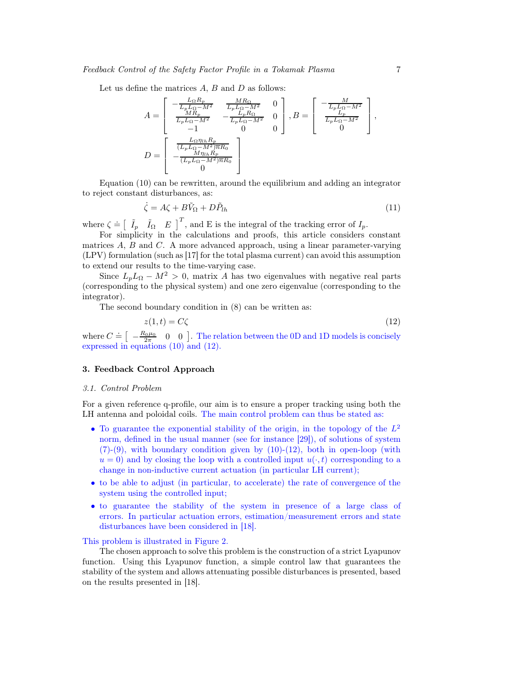Let us define the matrices  $A, B$  and  $D$  as follows:

$$
A = \begin{bmatrix} -\frac{L_{\Omega}R_{p}}{L_{p}L_{\Omega}-M^{2}} & \frac{MR_{\Omega}}{L_{p}L_{\Omega}-M^{2}} & 0\\ \frac{MR_{p}}{L_{p}L_{\Omega}-M^{2}} & -\frac{L_{p}R_{\Omega}}{L_{p}L_{\Omega}-M^{2}} & 0\\ -1 & 0 & 0 \end{bmatrix}, B = \begin{bmatrix} -\frac{M}{L_{p}L_{\Omega}-M^{2}}\\ \frac{L_{p}}{L_{p}L_{\Omega}-M^{2}}\\ 0 & 0 \end{bmatrix},
$$
  

$$
D = \begin{bmatrix} \frac{L_{\Omega}\eta_{lh}R_{p}}{(L_{p}L_{\Omega}-M^{2})\overline{n}R_{0}}\\ -\frac{M\eta_{lh}R_{p}}{(L_{p}L_{\Omega}-M^{2})\overline{n}R_{0}}\\ 0 \end{bmatrix}
$$

Equation (10) can be rewritten, around the equilibrium and adding an integrator to reject constant disturbances, as:

$$
\dot{\zeta} = A\zeta + B\tilde{V}_{\Omega} + D\tilde{P}_{lh} \tag{11}
$$

where  $\zeta \doteq \left[ \begin{array}{cc} \tilde{I}_p & \tilde{I}_{\Omega} & E \end{array} \right]^T$ , and E is the integral of the tracking error of  $I_p$ .

For simplicity in the calculations and proofs, this article considers constant matrices  $A, B$  and  $C$ . A more advanced approach, using a linear parameter-varying (LPV) formulation (such as [17] for the total plasma current) can avoid this assumption to extend our results to the time-varying case.

Since  $L_pL_{\Omega} - M^2 > 0$ , matrix A has two eigenvalues with negative real parts (corresponding to the physical system) and one zero eigenvalue (corresponding to the integrator).

The second boundary condition in (8) can be written as:

$$
z(1,t) = C\zeta \tag{12}
$$

where  $C = \begin{bmatrix} -\frac{R_0 \mu_0}{2\pi} & 0 & 0 \end{bmatrix}$ . The relation between the 0D and 1D models is concisely expressed in equations (10) and (12).

# 3. Feedback Control Approach

## 3.1. Control Problem

For a given reference q-profile, our aim is to ensure a proper tracking using both the LH antenna and poloidal coils. The main control problem can thus be stated as:

- To guarantee the exponential stability of the origin, in the topology of the  $L^2$ norm, defined in the usual manner (see for instance [29]), of solutions of system  $(7)-(9)$ , with boundary condition given by  $(10)-(12)$ , both in open-loop (with  $u = 0$ ) and by closing the loop with a controlled input  $u(\cdot, t)$  corresponding to a change in non-inductive current actuation (in particular LH current);
- to be able to adjust (in particular, to accelerate) the rate of convergence of the system using the controlled input;
- to guarantee the stability of the system in presence of a large class of errors. In particular actuation errors, estimation/measurement errors and state disturbances have been considered in [18].

# This problem is illustrated in Figure 2.

The chosen approach to solve this problem is the construction of a strict Lyapunov function. Using this Lyapunov function, a simple control law that guarantees the stability of the system and allows attenuating possible disturbances is presented, based on the results presented in [18].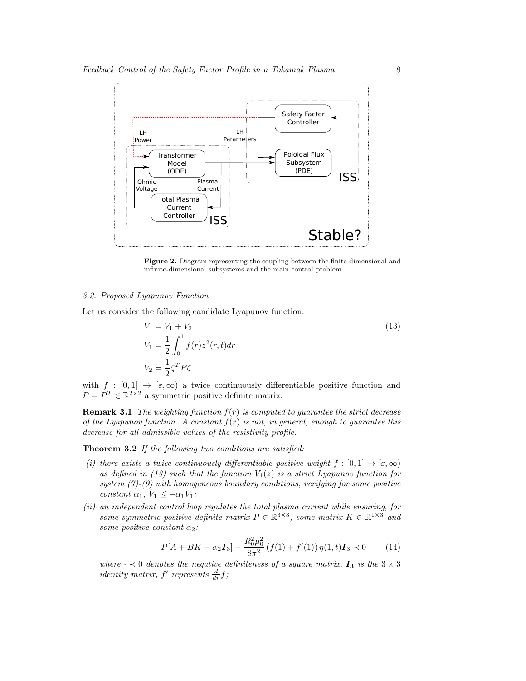

Figure 2. Diagram representing the coupling between the finite-dimensional and infinite-dimensional subsystems and the main control problem.

## 3.2. Proposed Lyapunov Function

Let us consider the following candidate Lyapunov function:

$$
V = V_1 + V_2
$$
  
\n
$$
V_1 = \frac{1}{2} \int_0^1 f(r) z^2(r, t) dr
$$
  
\n
$$
V_2 = \frac{1}{2} \zeta^T P \zeta
$$
\n(13)

with  $f : [0,1] \to [\varepsilon,\infty)$  a twice continuously differentiable positive function and  $P = P^T \in \mathbb{R}^{2 \times 2}$  a symmetric positive definite matrix.

**Remark 3.1** The weighting function  $f(r)$  is computed to guarantee the strict decrease of the Lyapunov function. A constant  $f(r)$  is not, in general, enough to guarantee this decrease for all admissible values of the resistivity profile.

Theorem 3.2 If the following two conditions are satisfied:

- (i) there exists a twice continuously differentiable positive weight  $f : [0,1] \to [\varepsilon,\infty)$ as defined in (13) such that the function  $V_1(z)$  is a strict Lyapunov function for system  $(7)-(9)$  with homogeneous boundary conditions, verifying for some positive constant  $\alpha_1, \, V_1 \leq -\alpha_1 V_1;$
- (ii) an independent control loop regulates the total plasma current while ensuring, for some symmetric positive definite matrix  $P \in \mathbb{R}^{3 \times 3}$ , some matrix  $K \in \mathbb{R}^{1 \times 3}$  and some positive constant  $\alpha_2$ :

$$
P[A + BK + \alpha_2 \mathbf{I}_3] - \frac{R_0^2 \mu_0^2}{8\pi^2} \left( f(1) + f'(1) \right) \eta(1, t) \mathbf{I}_3 \prec 0 \tag{14}
$$

where  $\cdot \prec 0$  denotes the negative definiteness of a square matrix,  $I_3$  is the  $3 \times 3$ *identity matrix,*  $f'$  represents  $\frac{d}{dr}f$ ;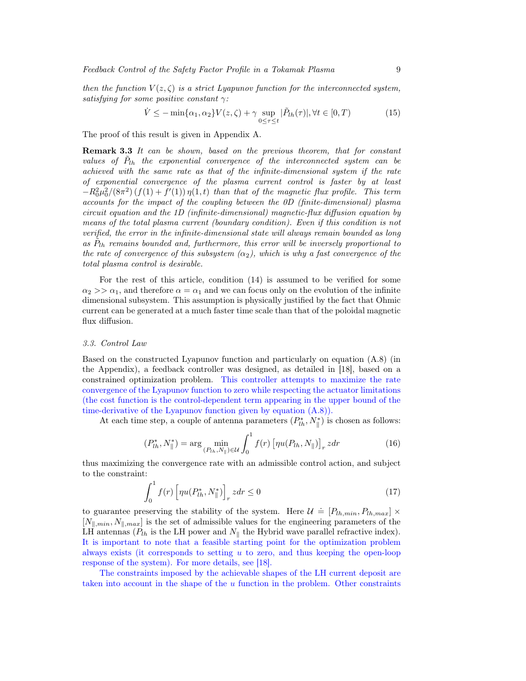then the function  $V(z,\zeta)$  is a strict Lyapunov function for the interconnected system, satisfying for some positive constant  $\gamma$ :

$$
\dot{V} \le -\min\{\alpha_1, \alpha_2\} V(z, \zeta) + \gamma \sup_{0 \le \tau \le t} |\tilde{P}_{lh}(\tau)|, \forall t \in [0, T)
$$
\n(15)

The proof of this result is given in Appendix A.

**Remark 3.3** It can be shown, based on the previous theorem, that for constant values of  $\tilde{P}_{lh}$  the exponential convergence of the interconnected system can be achieved with the same rate as that of the infinite-dimensional system if the rate of exponential convergence of the plasma current control is faster by at least  $-R_0^2\mu_0^2/(8\pi^2)(f(1)+f'(1))\eta(1,t)$  than that of the magnetic flux profile. This term accounts for the impact of the coupling between the 0D (finite-dimensional) plasma circuit equation and the 1D (infinite-dimensional) magnetic-flux diffusion equation by means of the total plasma current (boundary condition). Even if this condition is not verified, the error in the infinite-dimensional state will always remain bounded as long as  $\tilde{P}_{lh}$  remains bounded and, furthermore, this error will be inversely proportional to the rate of convergence of this subsystem  $(\alpha_2)$ , which is why a fast convergence of the total plasma control is desirable.

For the rest of this article, condition (14) is assumed to be verified for some  $\alpha_2 >> \alpha_1$ , and therefore  $\alpha = \alpha_1$  and we can focus only on the evolution of the infinite dimensional subsystem. This assumption is physically justified by the fact that Ohmic current can be generated at a much faster time scale than that of the poloidal magnetic flux diffusion.

#### 3.3. Control Law

Based on the constructed Lyapunov function and particularly on equation (A.8) (in the Appendix), a feedback controller was designed, as detailed in [18], based on a constrained optimization problem. This controller attempts to maximize the rate convergence of the Lyapunov function to zero while respecting the actuator limitations (the cost function is the control-dependent term appearing in the upper bound of the time-derivative of the Lyapunov function given by equation (A.8)).

At each time step, a couple of antenna parameters  $(P_{lh}^*, N_{\parallel}^*)$  is chosen as follows:

$$
(P_{lh}^*, N_{\parallel}^*) = \arg\min_{(P_{lh}, N_{\parallel}) \in \mathcal{U}} \int_0^1 f(r) \left[ \eta u(P_{lh}, N_{\parallel}) \right]_r z dr \tag{16}
$$

thus maximizing the convergence rate with an admissible control action, and subject to the constraint:

$$
\int_0^1 f(r) \left[ \eta u(P_{lh}^*, N_{\parallel}^*) \right]_r z dr \le 0 \tag{17}
$$

to guarantee preserving the stability of the system. Here  $\mathcal{U} \doteq [P_{lh,min}, P_{lh,max}] \times$  $[N_{\parallel,min}, N_{\parallel,max}]$  is the set of admissible values for the engineering parameters of the LH antennas ( $P_{lh}$  is the LH power and  $N_{\parallel}$  the Hybrid wave parallel refractive index). It is important to note that a feasible starting point for the optimization problem always exists (it corresponds to setting u to zero, and thus keeping the open-loop response of the system). For more details, see [18].

The constraints imposed by the achievable shapes of the LH current deposit are taken into account in the shape of the  $u$  function in the problem. Other constraints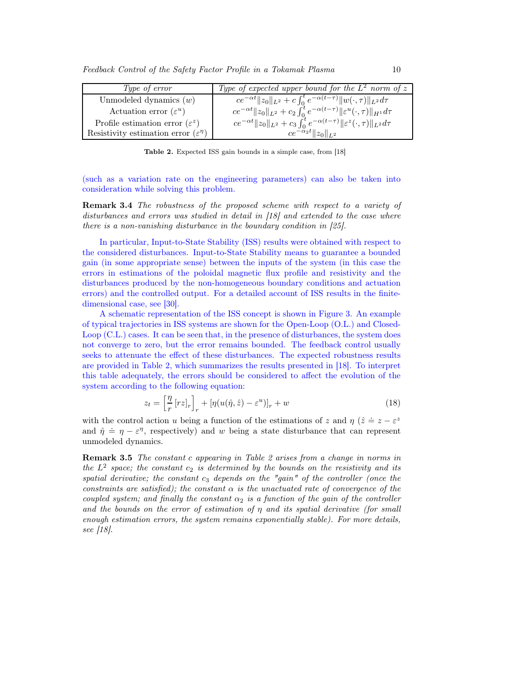| Type of error                                       | Type of expected upper bound for the $L^2$ norm of z                                                            |
|-----------------------------------------------------|-----------------------------------------------------------------------------------------------------------------|
| Unmodeled dynamics $(w)$                            | $ce^{-\alpha t}   z_0  _{L^2} + c \int_0^t e^{-\alpha(t-\tau)}   w(\cdot,\tau)  _{L^2} d\tau$                   |
| Actuation error $(\varepsilon^u)$                   | $ce^{-\alpha t}$ $  z_0  _{L^2}$ + $c_2 \int_0^t e^{-\alpha(t-\tau)}   \varepsilon^u(\cdot,\tau)  _{H^1} d\tau$ |
| Profile estimation error $(\varepsilon^z)$          | $ce^{-\alpha t} \ z_0\ _{L^2} + c_3 \int_0^t e^{-\alpha(t-\tau)} \ \varepsilon^z(\cdot,\tau)\ _{L^2} d\tau$     |
| Resistivity estimation error $(\varepsilon^{\eta})$ | $ce^{-\alpha_2 t}   z_0  _{L^2}$                                                                                |

Table 2. Expected ISS gain bounds in a simple case, from [18]

(such as a variation rate on the engineering parameters) can also be taken into consideration while solving this problem.

**Remark 3.4** The robustness of the proposed scheme with respect to a variety of disturbances and errors was studied in detail in [18] and extended to the case where there is a non-vanishing disturbance in the boundary condition in [25].

In particular, Input-to-State Stability (ISS) results were obtained with respect to the considered disturbances. Input-to-State Stability means to guarantee a bounded gain (in some appropriate sense) between the inputs of the system (in this case the errors in estimations of the poloidal magnetic flux profile and resistivity and the disturbances produced by the non-homogeneous boundary conditions and actuation errors) and the controlled output. For a detailed account of ISS results in the finitedimensional case, see [30].

A schematic representation of the ISS concept is shown in Figure 3. An example of typical trajectories in ISS systems are shown for the Open-Loop (O.L.) and Closed-Loop (C.L.) cases. It can be seen that, in the presence of disturbances, the system does not converge to zero, but the error remains bounded. The feedback control usually seeks to attenuate the effect of these disturbances. The expected robustness results are provided in Table 2, which summarizes the results presented in [18]. To interpret this table adequately, the errors should be considered to affect the evolution of the system according to the following equation:

$$
z_t = \left[\frac{\eta}{r} [rz]_r\right]_r + \left[\eta(u(\hat{\eta}, \hat{z}) - \varepsilon^u)\right]_r + w \tag{18}
$$

with the control action u being a function of the estimations of z and  $\eta$  ( $\hat{z} \doteq z - \varepsilon^z$ ) and  $\hat{\eta} = \eta - \varepsilon^{\eta}$ , respectively) and w being a state disturbance that can represent unmodeled dynamics.

**Remark 3.5** The constant c appearing in Table 2 arises from a change in norms in the  $L^2$  space; the constant  $c_2$  is determined by the bounds on the resistivity and its spatial derivative; the constant  $c_3$  depends on the "gain" of the controller (once the constraints are satisfied); the constant  $\alpha$  is the unactuated rate of convergence of the coupled system; and finally the constant  $\alpha_2$  is a function of the gain of the controller and the bounds on the error of estimation of  $\eta$  and its spatial derivative (for small enough estimation errors, the system remains exponentially stable). For more details, see [18].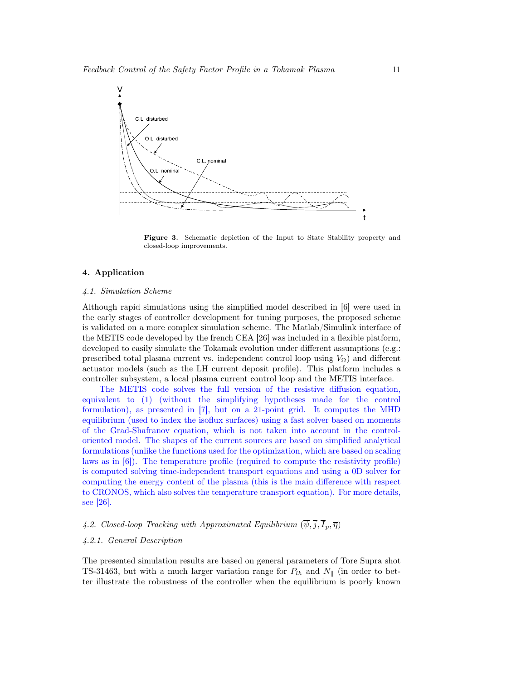

Figure 3. Schematic depiction of the Input to State Stability property and closed-loop improvements.

# 4. Application

#### 4.1. Simulation Scheme

Although rapid simulations using the simplified model described in [6] were used in the early stages of controller development for tuning purposes, the proposed scheme is validated on a more complex simulation scheme. The Matlab/Simulink interface of the METIS code developed by the french CEA [26] was included in a flexible platform, developed to easily simulate the Tokamak evolution under different assumptions (e.g.: prescribed total plasma current vs. independent control loop using  $V_{\Omega}$ ) and different actuator models (such as the LH current deposit profile). This platform includes a controller subsystem, a local plasma current control loop and the METIS interface.

The METIS code solves the full version of the resistive diffusion equation, equivalent to (1) (without the simplifying hypotheses made for the control formulation), as presented in [7], but on a 21-point grid. It computes the MHD equilibrium (used to index the isoflux surfaces) using a fast solver based on moments of the Grad-Shafranov equation, which is not taken into account in the controloriented model. The shapes of the current sources are based on simplified analytical formulations (unlike the functions used for the optimization, which are based on scaling laws as in [6]). The temperature profile (required to compute the resistivity profile) is computed solving time-independent transport equations and using a 0D solver for computing the energy content of the plasma (this is the main difference with respect to CRONOS, which also solves the temperature transport equation). For more details, see [26].

# 4.2. Closed-loop Tracking with Approximated Equilibrium  $(\overline{\psi}, \overline{j}, \overline{I}_p, \overline{\eta})$

# 4.2.1. General Description

The presented simulation results are based on general parameters of Tore Supra shot TS-31463, but with a much larger variation range for  $P_{lh}$  and  $N_{\parallel}$  (in order to better illustrate the robustness of the controller when the equilibrium is poorly known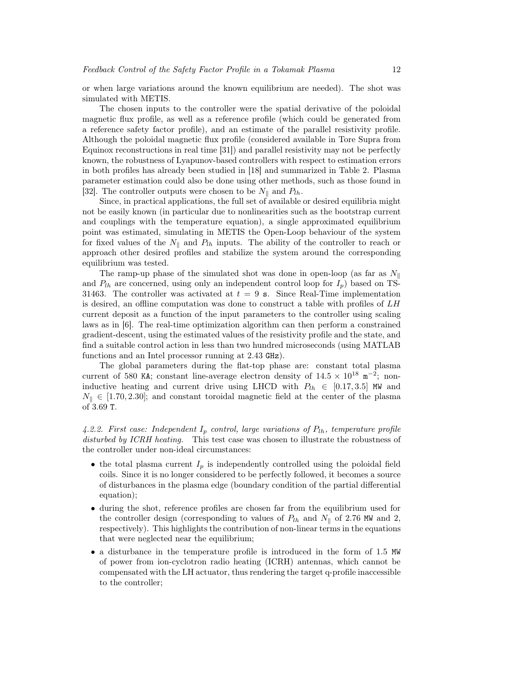or when large variations around the known equilibrium are needed). The shot was simulated with METIS.

The chosen inputs to the controller were the spatial derivative of the poloidal magnetic flux profile, as well as a reference profile (which could be generated from a reference safety factor profile), and an estimate of the parallel resistivity profile. Although the poloidal magnetic flux profile (considered available in Tore Supra from Equinox reconstructions in real time [31]) and parallel resistivity may not be perfectly known, the robustness of Lyapunov-based controllers with respect to estimation errors in both profiles has already been studied in [18] and summarized in Table 2. Plasma parameter estimation could also be done using other methods, such as those found in [32]. The controller outputs were chosen to be  $N_{\parallel}$  and  $P_{lh}$ .

Since, in practical applications, the full set of available or desired equilibria might not be easily known (in particular due to nonlinearities such as the bootstrap current and couplings with the temperature equation), a single approximated equilibrium point was estimated, simulating in METIS the Open-Loop behaviour of the system for fixed values of the  $N_{\parallel}$  and  $P_{th}$  inputs. The ability of the controller to reach or approach other desired profiles and stabilize the system around the corresponding equilibrium was tested.

The ramp-up phase of the simulated shot was done in open-loop (as far as  $N_{\parallel}$ ) and  $P_{lh}$  are concerned, using only an independent control loop for  $I_p$ ) based on TS-31463. The controller was activated at  $t = 9$  s. Since Real-Time implementation is desired, an offline computation was done to construct a table with profiles of LH current deposit as a function of the input parameters to the controller using scaling laws as in [6]. The real-time optimization algorithm can then perform a constrained gradient-descent, using the estimated values of the resistivity profile and the state, and find a suitable control action in less than two hundred microseconds (using MATLAB functions and an Intel processor running at 2.43 GHz).

The global parameters during the flat-top phase are: constant total plasma current of 580 KA; constant line-average electron density of  $14.5 \times 10^{18}$  m<sup>-2</sup>; noninductive heating and current drive using LHCD with  $P_{lh} \in [0.17, 3.5]$  MW and  $N_{\parallel} \in [1.70, 2.30]$ ; and constant toroidal magnetic field at the center of the plasma of 3.69 T.

4.2.2. First case: Independent  $I_p$  control, large variations of  $P_{lh}$ , temperature profile disturbed by ICRH heating. This test case was chosen to illustrate the robustness of the controller under non-ideal circumstances:

- the total plasma current  $I_p$  is independently controlled using the poloidal field coils. Since it is no longer considered to be perfectly followed, it becomes a source of disturbances in the plasma edge (boundary condition of the partial differential equation);
- during the shot, reference profiles are chosen far from the equilibrium used for the controller design (corresponding to values of  $P_{lh}$  and  $N_{\parallel}$  of 2.76 MW and 2, respectively). This highlights the contribution of non-linear terms in the equations that were neglected near the equilibrium;
- a disturbance in the temperature profile is introduced in the form of 1.5 MW of power from ion-cyclotron radio heating (ICRH) antennas, which cannot be compensated with the LH actuator, thus rendering the target q-profile inaccessible to the controller;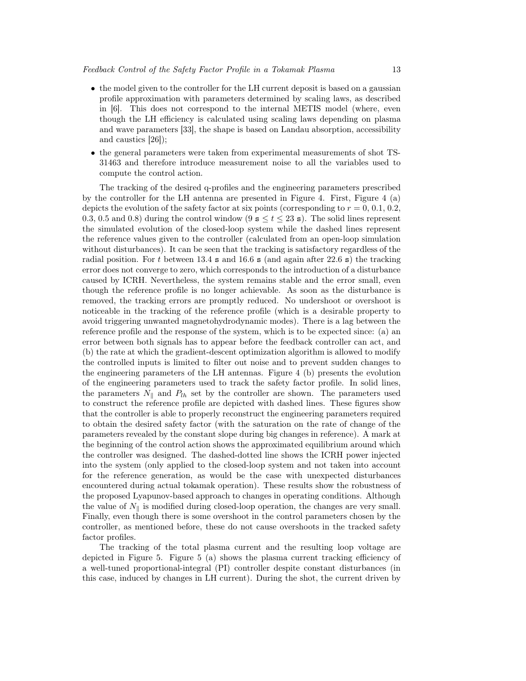- the model given to the controller for the LH current deposit is based on a gaussian profile approximation with parameters determined by scaling laws, as described in [6]. This does not correspond to the internal METIS model (where, even though the LH efficiency is calculated using scaling laws depending on plasma and wave parameters [33], the shape is based on Landau absorption, accessibility and caustics [26]);
- the general parameters were taken from experimental measurements of shot TS-31463 and therefore introduce measurement noise to all the variables used to compute the control action.

The tracking of the desired q-profiles and the engineering parameters prescribed by the controller for the LH antenna are presented in Figure 4. First, Figure 4 (a) depicts the evolution of the safety factor at six points (corresponding to  $r = 0, 0.1, 0.2$ , 0.3, 0.5 and 0.8) during the control window (9  $s \le t \le 23$  s). The solid lines represent the simulated evolution of the closed-loop system while the dashed lines represent the reference values given to the controller (calculated from an open-loop simulation without disturbances). It can be seen that the tracking is satisfactory regardless of the radial position. For t between 13.4 s and 16.6 s (and again after 22.6 s) the tracking error does not converge to zero, which corresponds to the introduction of a disturbance caused by ICRH. Nevertheless, the system remains stable and the error small, even though the reference profile is no longer achievable. As soon as the disturbance is removed, the tracking errors are promptly reduced. No undershoot or overshoot is noticeable in the tracking of the reference profile (which is a desirable property to avoid triggering unwanted magnetohydrodynamic modes). There is a lag between the reference profile and the response of the system, which is to be expected since: (a) an error between both signals has to appear before the feedback controller can act, and (b) the rate at which the gradient-descent optimization algorithm is allowed to modify the controlled inputs is limited to filter out noise and to prevent sudden changes to the engineering parameters of the LH antennas. Figure 4 (b) presents the evolution of the engineering parameters used to track the safety factor profile. In solid lines, the parameters  $N_{\parallel}$  and  $P_{lh}$  set by the controller are shown. The parameters used to construct the reference profile are depicted with dashed lines. These figures show that the controller is able to properly reconstruct the engineering parameters required to obtain the desired safety factor (with the saturation on the rate of change of the parameters revealed by the constant slope during big changes in reference). A mark at the beginning of the control action shows the approximated equilibrium around which the controller was designed. The dashed-dotted line shows the ICRH power injected into the system (only applied to the closed-loop system and not taken into account for the reference generation, as would be the case with unexpected disturbances encountered during actual tokamak operation). These results show the robustness of the proposed Lyapunov-based approach to changes in operating conditions. Although the value of  $N_{\parallel}$  is modified during closed-loop operation, the changes are very small. Finally, even though there is some overshoot in the control parameters chosen by the controller, as mentioned before, these do not cause overshoots in the tracked safety factor profiles.

The tracking of the total plasma current and the resulting loop voltage are depicted in Figure 5. Figure 5 (a) shows the plasma current tracking efficiency of a well-tuned proportional-integral (PI) controller despite constant disturbances (in this case, induced by changes in LH current). During the shot, the current driven by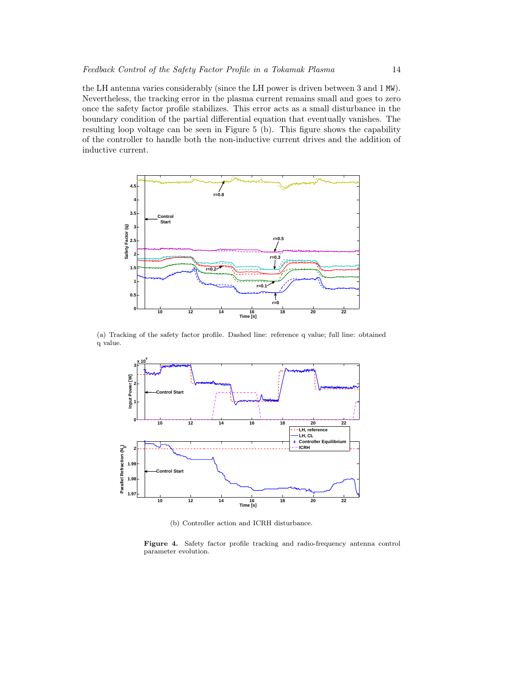the LH antenna varies considerably (since the LH power is driven between 3 and 1 MW). Nevertheless, the tracking error in the plasma current remains small and goes to zero once the safety factor profile stabilizes. This error acts as a small disturbance in the boundary condition of the partial differential equation that eventually vanishes. The resulting loop voltage can be seen in Figure 5 (b). This figure shows the capability of the controller to handle both the non-inductive current drives and the addition of inductive current.



(a) Tracking of the safety factor profile. Dashed line: reference q value; full line: obtained q value.



(b) Controller action and ICRH disturbance.

Figure 4. Safety factor profile tracking and radio-frequency antenna control parameter evolution.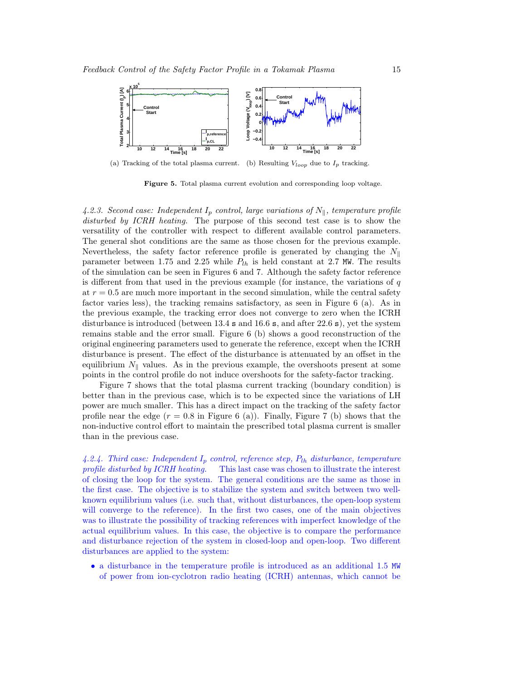

(a) Tracking of the total plasma current. (b) Resulting  $V_{loop}$  due to  $I_p$  tracking.

Figure 5. Total plasma current evolution and corresponding loop voltage.

4.2.3. Second case: Independent  $I_p$  control, large variations of  $N_{\parallel}$ , temperature profile disturbed by ICRH heating. The purpose of this second test case is to show the versatility of the controller with respect to different available control parameters. The general shot conditions are the same as those chosen for the previous example. Nevertheless, the safety factor reference profile is generated by changing the  $N_{\parallel}$ parameter between 1.75 and 2.25 while  $P_{lh}$  is held constant at 2.7 MW. The results of the simulation can be seen in Figures 6 and 7. Although the safety factor reference is different from that used in the previous example (for instance, the variations of  $q$ at  $r = 0.5$  are much more important in the second simulation, while the central safety factor varies less), the tracking remains satisfactory, as seen in Figure 6 (a). As in the previous example, the tracking error does not converge to zero when the ICRH disturbance is introduced (between 13.4 s and 16.6 s, and after 22.6 s), yet the system remains stable and the error small. Figure 6 (b) shows a good reconstruction of the original engineering parameters used to generate the reference, except when the ICRH disturbance is present. The effect of the disturbance is attenuated by an offset in the equilibrium  $N_{\parallel}$  values. As in the previous example, the overshoots present at some points in the control profile do not induce overshoots for the safety-factor tracking.

Figure 7 shows that the total plasma current tracking (boundary condition) is better than in the previous case, which is to be expected since the variations of LH power are much smaller. This has a direct impact on the tracking of the safety factor profile near the edge  $(r = 0.8$  in Figure 6 (a)). Finally, Figure 7 (b) shows that the non-inductive control effort to maintain the prescribed total plasma current is smaller than in the previous case.

4.2.4. Third case: Independent  $I_p$  control, reference step,  $P_{lh}$  disturbance, temperature profile disturbed by ICRH heating. This last case was chosen to illustrate the interest of closing the loop for the system. The general conditions are the same as those in the first case. The objective is to stabilize the system and switch between two wellknown equilibrium values (i.e. such that, without disturbances, the open-loop system will converge to the reference). In the first two cases, one of the main objectives was to illustrate the possibility of tracking references with imperfect knowledge of the actual equilibrium values. In this case, the objective is to compare the performance and disturbance rejection of the system in closed-loop and open-loop. Two different disturbances are applied to the system:

• a disturbance in the temperature profile is introduced as an additional 1.5 MW of power from ion-cyclotron radio heating (ICRH) antennas, which cannot be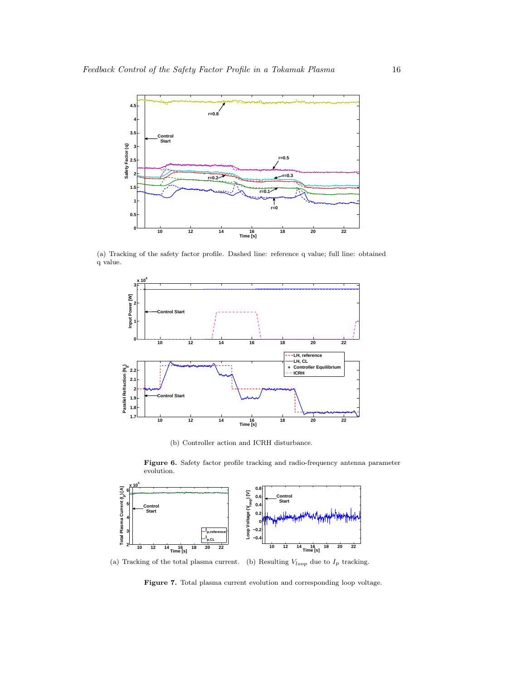

(a) Tracking of the safety factor profile. Dashed line: reference q value; full line: obtained q value.



(b) Controller action and ICRH disturbance.



(a) Tracking of the total plasma current. (b) Resulting  $V_{loop}$  due to  $I_p$  tracking.

Figure 6. Safety factor profile tracking and radio-frequency antenna parameter evolution.

Figure 7. Total plasma current evolution and corresponding loop voltage.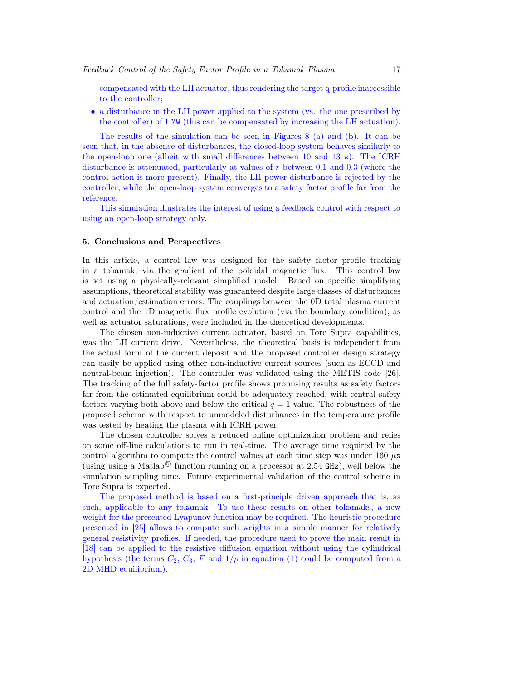compensated with the LH actuator, thus rendering the target q-profile inaccessible to the controller;

• a disturbance in the LH power applied to the system (vs. the one prescribed by the controller) of 1 MW (this can be compensated by increasing the LH actuation).

The results of the simulation can be seen in Figures 8 (a) and (b). It can be seen that, in the absence of disturbances, the closed-loop system behaves similarly to the open-loop one (albeit with small differences between 10 and 13 s). The ICRH disturbance is attenuated, particularly at values of  $r$  between 0.1 and 0.3 (where the control action is more present). Finally, the LH power disturbance is rejected by the controller, while the open-loop system converges to a safety factor profile far from the reference.

This simulation illustrates the interest of using a feedback control with respect to using an open-loop strategy only.

## 5. Conclusions and Perspectives

In this article, a control law was designed for the safety factor profile tracking in a tokamak, via the gradient of the poloidal magnetic flux. This control law is set using a physically-relevant simplified model. Based on specific simplifying assumptions, theoretical stability was guaranteed despite large classes of disturbances and actuation/estimation errors. The couplings between the 0D total plasma current control and the 1D magnetic flux profile evolution (via the boundary condition), as well as actuator saturations, were included in the theoretical developments.

The chosen non-inductive current actuator, based on Tore Supra capabilities, was the LH current drive. Nevertheless, the theoretical basis is independent from the actual form of the current deposit and the proposed controller design strategy can easily be applied using other non-inductive current sources (such as ECCD and neutral-beam injection). The controller was validated using the METIS code [26]. The tracking of the full safety-factor profile shows promising results as safety factors far from the estimated equilibrium could be adequately reached, with central safety factors varying both above and below the critical  $q = 1$  value. The robustness of the proposed scheme with respect to unmodeled disturbances in the temperature profile was tested by heating the plasma with ICRH power.

The chosen controller solves a reduced online optimization problem and relies on some off-line calculations to run in real-time. The average time required by the control algorithm to compute the control values at each time step was under 160  $\mu$ s (using using a Matlab<sup>®</sup> function running on a processor at 2.54  $GHz$ ), well below the simulation sampling time. Future experimental validation of the control scheme in Tore Supra is expected.

The proposed method is based on a first-principle driven approach that is, as such, applicable to any tokamak. To use these results on other tokamaks, a new weight for the presented Lyapunov function may be required. The heuristic procedure presented in [25] allows to compute such weights in a simple manner for relatively general resistivity profiles. If needed, the procedure used to prove the main result in [18] can be applied to the resistive diffusion equation without using the cylindrical hypothesis (the terms  $C_2, C_3, F$  and  $1/\rho$  in equation (1) could be computed from a 2D MHD equilibrium).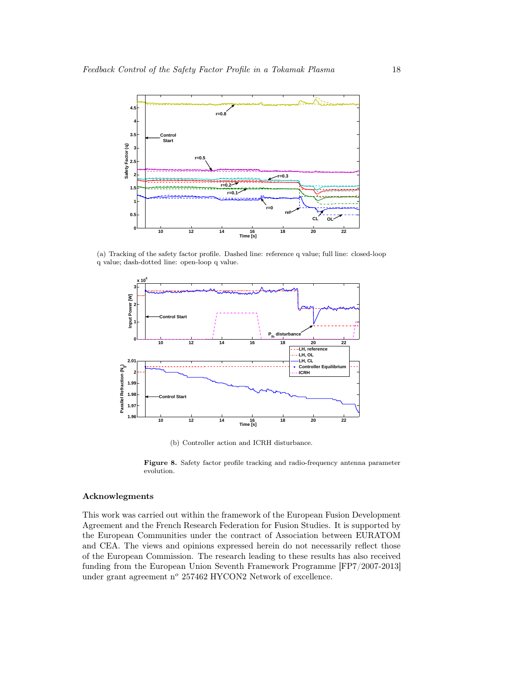

(a) Tracking of the safety factor profile. Dashed line: reference q value; full line: closed-loop q value; dash-dotted line: open-loop q value.



(b) Controller action and ICRH disturbance.

Figure 8. Safety factor profile tracking and radio-frequency antenna parameter evolution.

# Acknowlegments

This work was carried out within the framework of the European Fusion Development Agreement and the French Research Federation for Fusion Studies. It is supported by the European Communities under the contract of Association between EURATOM and CEA. The views and opinions expressed herein do not necessarily reflect those of the European Commission. The research leading to these results has also received funding from the European Union Seventh Framework Programme [FP7/2007-2013] under grant agreement n° 257462 HYCON2 Network of excellence.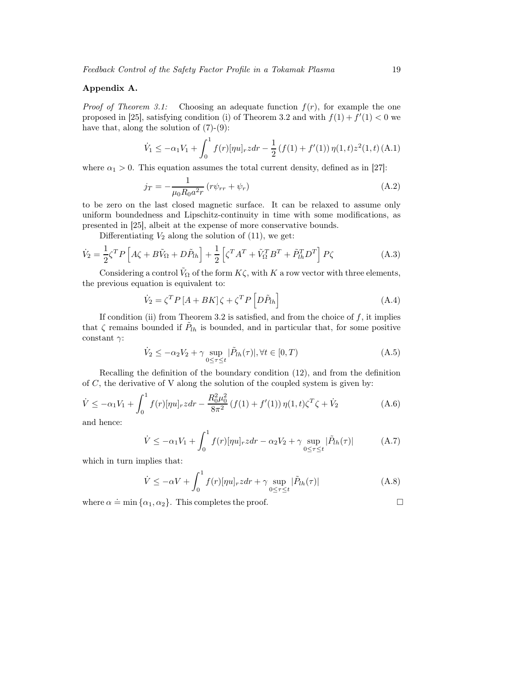#### Appendix A.

*Proof of Theorem 3.1:* Choosing an adequate function  $f(r)$ , for example the one proposed in [25], satisfying condition (i) of Theorem 3.2 and with  $f(1) + f'(1) < 0$  we have that, along the solution of  $(7)-(9)$ :

$$
\dot{V}_1 \le -\alpha_1 V_1 + \int_0^1 f(r)[\eta u]_r z dr - \frac{1}{2} \left(f(1) + f'(1)\right) \eta(1, t) z^2(1, t) \left(A.1\right)
$$

where  $\alpha_1 > 0$ . This equation assumes the total current density, defined as in [27]:

$$
j_T = -\frac{1}{\mu_0 R_0 a^2 r} (r \psi_{rr} + \psi_r)
$$
 (A.2)

to be zero on the last closed magnetic surface. It can be relaxed to assume only uniform boundedness and Lipschitz-continuity in time with some modifications, as presented in [25], albeit at the expense of more conservative bounds.

Differentiating  $V_2$  along the solution of (11), we get:

$$
\dot{V}_2 = \frac{1}{2}\zeta^T P \left[ A\zeta + B\tilde{V}_{\Omega} + D\tilde{P}_{lh} \right] + \frac{1}{2} \left[ \zeta^T A^T + \tilde{V}_{\Omega}^T B^T + \tilde{P}_{lh}^T D^T \right] P \zeta \tag{A.3}
$$

Considering a control  $V_{\Omega}$  of the form  $K\zeta$ , with K a row vector with three elements, the previous equation is equivalent to:

$$
\dot{V}_2 = \zeta^T P \left[ A + BK \right] \zeta + \zeta^T P \left[ D \tilde{P}_{lh} \right] \tag{A.4}
$$

If condition (ii) from Theorem 3.2 is satisfied, and from the choice of  $f$ , it implies that  $\zeta$  remains bounded if  $\tilde{P}_{lh}$  is bounded, and in particular that, for some positive constant  $\gamma$ :

$$
\dot{V}_2 \le -\alpha_2 V_2 + \gamma \sup_{0 \le \tau \le t} |\tilde{P}_{lh}(\tau)|, \forall t \in [0, T)
$$
\n(A.5)

Recalling the definition of the boundary condition (12), and from the definition of  $C$ , the derivative of V along the solution of the coupled system is given by:

$$
\dot{V} \le -\alpha_1 V_1 + \int_0^1 f(r)[\eta u]_r z dr - \frac{R_0^2 \mu_0^2}{8\pi^2} (f(1) + f'(1)) \eta(1, t) \zeta^T \zeta + \dot{V}_2
$$
\n(A.6)

and hence:

$$
\dot{V} \le -\alpha_1 V_1 + \int_0^1 f(r)[\eta u]_r z dr - \alpha_2 V_2 + \gamma \sup_{0 \le \tau \le t} |\tilde{P}_{lh}(\tau)| \tag{A.7}
$$

which in turn implies that:

$$
\dot{V} \le -\alpha V + \int_0^1 f(r)[\eta u]_r z dr + \gamma \sup_{0 \le \tau \le t} |\tilde{P}_{lh}(\tau)| \tag{A.8}
$$

where  $\alpha \doteq \min \{\alpha_1, \alpha_2\}$ . This completes the proof.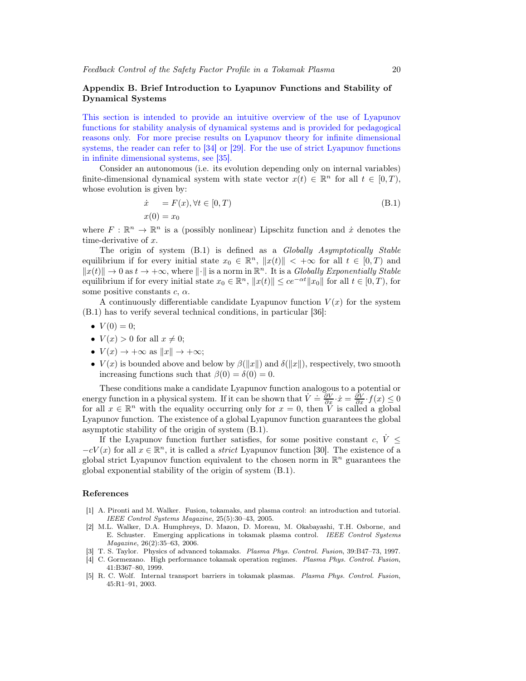# Appendix B. Brief Introduction to Lyapunov Functions and Stability of Dynamical Systems

This section is intended to provide an intuitive overview of the use of Lyapunov functions for stability analysis of dynamical systems and is provided for pedagogical reasons only. For more precise results on Lyapunov theory for infinite dimensional systems, the reader can refer to [34] or [29]. For the use of strict Lyapunov functions in infinite dimensional systems, see [35].

Consider an autonomous (i.e. its evolution depending only on internal variables) finite-dimensional dynamical system with state vector  $x(t) \in \mathbb{R}^n$  for all  $t \in [0, T)$ , whose evolution is given by:

$$
\begin{aligned}\n\dot{x} &= F(x), \forall t \in [0, T) \\
x(0) &= x_0\n\end{aligned} \tag{B.1}
$$

where  $F: \mathbb{R}^n \to \mathbb{R}^n$  is a (possibly nonlinear) Lipschitz function and  $\dot{x}$  denotes the time-derivative of  $x$ .

The origin of system (B.1) is defined as a Globally Asymptotically Stable equilibrium if for every initial state  $x_0 \in \mathbb{R}^n$ ,  $||x(t)|| < +\infty$  for all  $t \in [0, T)$  and  $||x(t)|| \to 0$  as  $t \to +\infty$ , where  $||\cdot||$  is a norm in  $\mathbb{R}^n$ . It is a *Globally Exponentially Stable* equilibrium if for every initial state  $x_0 \in \mathbb{R}^n$ ,  $||x(t)|| \le ce^{-\alpha t} ||x_0||$  for all  $t \in [0, T)$ , for some positive constants  $c, \alpha$ .

A continuously differentiable candidate Lyapunov function  $V(x)$  for the system (B.1) has to verify several technical conditions, in particular [36]:

- $V(0) = 0;$
- $V(x) > 0$  for all  $x \neq 0$ ;
- $V(x) \rightarrow +\infty$  as  $||x|| \rightarrow +\infty$ ;
- $V(x)$  is bounded above and below by  $\beta(\Vert x \Vert)$  and  $\delta(\Vert x \Vert)$ , respectively, two smooth increasing functions such that  $\beta(0) = \delta(0) = 0$ .

These conditions make a candidate Lyapunov function analogous to a potential or energy function in a physical system. If it can be shown that  $\dot{V} = \frac{\partial V}{\partial x} \cdot \dot{x} = \frac{\partial V}{\partial x} \cdot f(x) \le 0$ for all  $x \in \mathbb{R}^n$  with the equality occurring only for  $x = 0$ , then  $\tilde{V}$  is called a global Lyapunov function. The existence of a global Lyapunov function guarantees the global asymptotic stability of the origin of system (B.1).

If the Lyapunov function further satisfies, for some positive constant c,  $\dot{V} \leq$  $-cV(x)$  for all  $x \in \mathbb{R}^n$ , it is called a *strict* Lyapunov function [30]. The existence of a global strict Lyapunov function equivalent to the chosen norm in  $\mathbb{R}^n$  guarantees the global exponential stability of the origin of system (B.1).

#### References

- [1] A. Pironti and M. Walker. Fusion, tokamaks, and plasma control: an introduction and tutorial. IEEE Control Systems Magazine, 25(5):30–43, 2005.
- [2] M.L. Walker, D.A. Humphreys, D. Mazon, D. Moreau, M. Okabayashi, T.H. Osborne, and E. Schuster. Emerging applications in tokamak plasma control. IEEE Control Systems Magazine, 26(2):35–63, 2006.
- [3] T. S. Taylor. Physics of advanced tokamaks. Plasma Phys. Control. Fusion, 39:B47–73, 1997.
- [4] C. Gormezano. High performance tokamak operation regimes. Plasma Phys. Control. Fusion, 41:B367–80, 1999.
- [5] R. C. Wolf. Internal transport barriers in tokamak plasmas. Plasma Phys. Control. Fusion, 45:R1–91, 2003.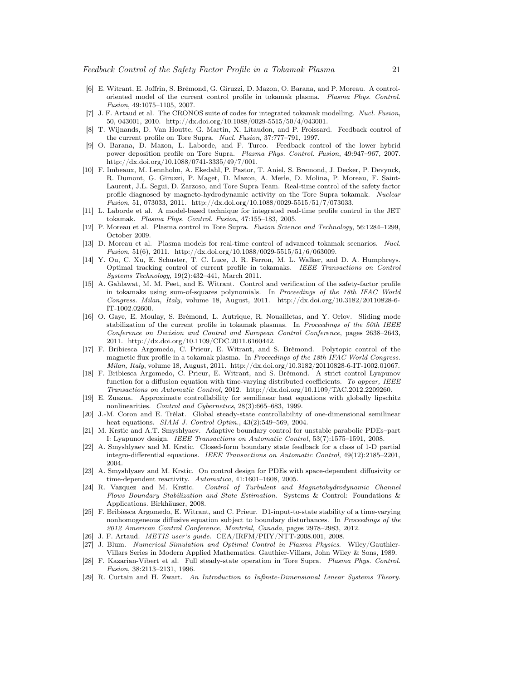- [6] E. Witrant, E. Joffrin, S. Brémond, G. Giruzzi, D. Mazon, O. Barana, and P. Moreau. A controloriented model of the current control profile in tokamak plasma. Plasma Phys. Control. Fusion, 49:1075–1105, 2007.
- [7] J. F. Artaud et al. The CRONOS suite of codes for integrated tokamak modelling. Nucl. Fusion, 50, 043001, 2010. http://dx.doi.org/10.1088/0029-5515/50/4/043001.
- [8] T. Wijnands, D. Van Houtte, G. Martin, X. Litaudon, and P. Froissard. Feedback control of the current profile on Tore Supra. Nucl. Fusion, 37:777-791, 1997.
- [9] O. Barana, D. Mazon, L. Laborde, and F. Turco. Feedback control of the lower hybrid power deposition profile on Tore Supra. Plasma Phys. Control. Fusion, 49:947–967, 2007. http://dx.doi.org/10.1088/0741-3335/49/7/001.
- [10] F. Imbeaux, M. Lennholm, A. Ekedahl, P. Pastor, T. Aniel, S. Bremond, J. Decker, P. Devynck, R. Dumont, G. Giruzzi, P. Maget, D. Mazon, A. Merle, D. Molina, P. Moreau, F. Saint-Laurent, J.L. Segui, D. Zarzoso, and Tore Supra Team. Real-time control of the safety factor profile diagnosed by magneto-hydrodynamic activity on the Tore Supra tokamak. Nuclear Fusion, 51, 073033, 2011. http://dx.doi.org/10.1088/0029-5515/51/7/073033.
- [11] L. Laborde et al. A model-based technique for integrated real-time profile control in the JET tokamak. Plasma Phys. Control. Fusion, 47:155–183, 2005.
- [12] P. Moreau et al. Plasma control in Tore Supra. Fusion Science and Technology, 56:1284–1299, October 2009.
- [13] D. Moreau et al. Plasma models for real-time control of advanced tokamak scenarios. Nucl. Fusion, 51(6), 2011. http://dx.doi.org/10.1088/0029-5515/51/6/063009.
- [14] Y. Ou, C. Xu, E. Schuster, T. C. Luce, J. R. Ferron, M. L. Walker, and D. A. Humphreys. Optimal tracking control of current profile in tokamaks. IEEE Transactions on Control Systems Technology, 19(2):432–441, March 2011.
- [15] A. Gahlawat, M. M. Peet, and E. Witrant. Control and verification of the safety-factor profile in tokamaks using sum-of-squares polynomials. In Proceedings of the 18th IFAC World Congress. Milan, Italy, volume 18, August, 2011. http://dx.doi.org/10.3182/20110828-6- IT-1002.02600.
- [16] O. Gaye, E. Moulay, S. Brémond, L. Autrique, R. Nouailletas, and Y. Orlov. Sliding mode stabilization of the current profile in tokamak plasmas. In Proceedings of the 50th IEEE Conference on Decision and Control and European Control Conference, pages 2638–2643, 2011. http://dx.doi.org/10.1109/CDC.2011.6160442.
- [17] F. Bribiesca Argomedo, C. Prieur, E. Witrant, and S. Brémond. Polytopic control of the magnetic flux profile in a tokamak plasma. In Proceedings of the 18th IFAC World Congress. Milan, Italy, volume 18, August, 2011. http://dx.doi.org/10.3182/20110828-6-IT-1002.01067.
- [18] F. Bribiesca Argomedo, C. Prieur, E. Witrant, and S. Brémond. A strict control Lyapunov function for a diffusion equation with time-varying distributed coefficients. To appear, IEEE Transactions on Automatic Control, 2012. http://dx.doi.org/10.1109/TAC.2012.2209260.
- [19] E. Zuazua. Approximate controllability for semilinear heat equations with globally lipschitz nonlinearities. Control and Cybernetics, 28(3):665–683, 1999.
- [20] J.-M. Coron and E. Trélat. Global steady-state controllability of one-dimensional semilinear heat equations. *SIAM J. Control Optim.*, 43(2):549-569, 2004.
- [21] M. Krstic and A.T. Smyshlyaev. Adaptive boundary control for unstable parabolic PDEs–part I: Lyapunov design. IEEE Transactions on Automatic Control, 53(7):1575–1591, 2008.
- [22] A. Smyshlyaev and M. Krstic. Closed-form boundary state feedback for a class of 1-D partial integro-differential equations. IEEE Transactions on Automatic Control, 49(12):2185–2201, 2004.
- [23] A. Smyshlyaev and M. Krstic. On control design for PDEs with space-dependent diffusivity or time-dependent reactivity. Automatica, 41:1601–1608, 2005.
- [24] R. Vazquez and M. Krstic. Control of Turbulent and Magnetohydrodynamic Channel Flows Boundary Stabilization and State Estimation. Systems & Control: Foundations & Applications. Birkhäuser, 2008.
- [25] F. Bribiesca Argomedo, E. Witrant, and C. Prieur. D1-input-to-state stability of a time-varying nonhomogeneous diffusive equation subject to boundary disturbances. In Proceedings of the 2012 American Control Conference, Montréal, Canada, pages 2978–2983, 2012.
- [26] J. F. Artaud. METIS user's guide. CEA/IRFM/PHY/NTT-2008.001, 2008.
- [27] J. Blum. Numerical Simulation and Optimal Control in Plasma Physics. Wiley/Gauthier-Villars Series in Modern Applied Mathematics. Gauthier-Villars, John Wiley & Sons, 1989.
- [28] F. Kazarian-Vibert et al. Full steady-state operation in Tore Supra. Plasma Phys. Control. Fusion, 38:2113–2131, 1996.
- [29] R. Curtain and H. Zwart. An Introduction to Infinite-Dimensional Linear Systems Theory.